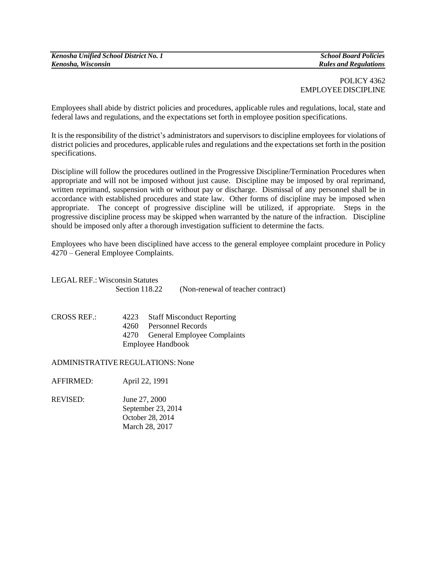| Kenosha Unified School District No. 1 |
|---------------------------------------|
| Kenosha, Wisconsin                    |

*School Board Policies Rules and Regulations*

## POLICY 4362 EMPLOYEEDISCIPLINE

Employees shall abide by district policies and procedures, applicable rules and regulations, local, state and federal laws and regulations, and the expectations set forth in employee position specifications.

It is the responsibility of the district's administrators and supervisors to discipline employees for violations of district policies and procedures, applicable rules and regulations and the expectations set forth in the position specifications.

Discipline will follow the procedures outlined in the Progressive Discipline/Termination Procedures when appropriate and will not be imposed without just cause. Discipline may be imposed by oral reprimand, written reprimand, suspension with or without pay or discharge. Dismissal of any personnel shall be in accordance with established procedures and state law. Other forms of discipline may be imposed when appropriate. The concept of progressive discipline will be utilized, if appropriate. Steps in the progressive discipline process may be skipped when warranted by the nature of the infraction. Discipline should be imposed only after a thorough investigation sufficient to determine the facts.

Employees who have been disciplined have access to the general employee complaint procedure in Policy 4270 – General Employee Complaints.

| <b>LEGAL REF.: Wisconsin Statutes</b> |                      |                                                                                                                          |                                   |
|---------------------------------------|----------------------|--------------------------------------------------------------------------------------------------------------------------|-----------------------------------|
|                                       | Section 118.22       |                                                                                                                          | (Non-renewal of teacher contract) |
| <b>CROSS REF.:</b>                    | 4223<br>4260<br>4270 | <b>Staff Misconduct Reporting</b><br>Personnel Records<br><b>General Employee Complaints</b><br><b>Employee Handbook</b> |                                   |
|                                       |                      |                                                                                                                          |                                   |

ADMINISTRATIVEREGULATIONS: None

AFFIRMED: April 22, 1991

REVISED: June 27, 2000 September 23, 2014 October 28, 2014 March 28, 2017